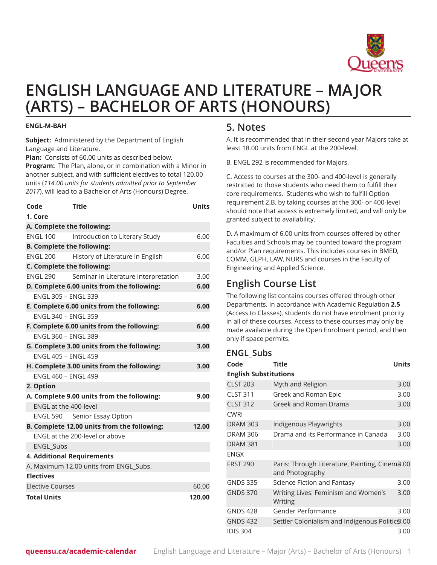

# **ENGLISH LANGUAGE AND LITERATURE – MAJOR (ARTS) – BACHELOR OF ARTS (HONOURS)**

#### **ENGL-M-BAH**

**Subject:** Administered by the Department of English Language and Literature.

**Plan:** Consists of 60.00 units as described below.

**Program:** The Plan, alone, or in combination with a Minor in another subject, and with sufficient electives to total 120.00 units (*114.00 units for students admitted prior to September 2017*), will lead to a Bachelor of Arts (Honours) Degree.

| Code                                       | <b>Title</b>                                | <b>Units</b> |  |  |
|--------------------------------------------|---------------------------------------------|--------------|--|--|
| 1. Core                                    |                                             |              |  |  |
| A. Complete the following:                 |                                             |              |  |  |
| <b>ENGL 100</b>                            | Introduction to Literary Study              | 6.00         |  |  |
|                                            | <b>B. Complete the following:</b>           |              |  |  |
| <b>ENGL 200</b>                            | History of Literature in English            | 6.00         |  |  |
| C. Complete the following:                 |                                             |              |  |  |
| <b>FNGI 290</b>                            | Seminar in Literature Interpretation        | 3.00         |  |  |
|                                            | D. Complete 6.00 units from the following:  | 6.00         |  |  |
| <b>ENGL 305 - ENGL 339</b>                 |                                             |              |  |  |
|                                            | E. Complete 6.00 units from the following:  | 6.00         |  |  |
| FNGL 340 - FNGL 359                        |                                             |              |  |  |
|                                            | F. Complete 6.00 units from the following:  | 6.00         |  |  |
| FNGL 360 - FNGL 389                        |                                             |              |  |  |
|                                            | G. Complete 3.00 units from the following:  | 3.00         |  |  |
| <b>FNGL 405 - FNGL 459</b>                 |                                             |              |  |  |
| H. Complete 3.00 units from the following: | 3.00                                        |              |  |  |
| FNGI 460 - FNGI 499                        |                                             |              |  |  |
| 2. Option                                  |                                             |              |  |  |
| A. Complete 9.00 units from the following: | 9.00                                        |              |  |  |
| ENGL at the 400-level                      |                                             |              |  |  |
| <b>ENGL 590</b>                            | Senior Essay Option                         |              |  |  |
|                                            | B. Complete 12.00 units from the following: | 12.00        |  |  |
|                                            | ENGL at the 200-level or above              |              |  |  |
| <b>ENGL Subs</b>                           |                                             |              |  |  |
|                                            | <b>4. Additional Requirements</b>           |              |  |  |
|                                            | A. Maximum 12.00 units from ENGL Subs.      |              |  |  |
| <b>Electives</b>                           |                                             |              |  |  |
| <b>Elective Courses</b>                    |                                             | 60.00        |  |  |
| <b>Total Units</b>                         |                                             | 120.00       |  |  |

### **5. Notes**

A. It is recommended that in their second year Majors take at least 18.00 units from ENGL at the 200-level.

B. ENGL 292 is recommended for Majors.

C. Access to courses at the 300- and 400-level is generally restricted to those students who need them to fulfill their core requirements. Students who wish to fulfill Option requirement 2.B. by taking courses at the 300- or 400-level should note that access is extremely limited, and will only be granted subject to availability.

D. A maximum of 6.00 units from courses offered by other Faculties and Schools may be counted toward the program and/or Plan requirements. This includes courses in BMED, COMM, GLPH, LAW, NURS and courses in the Faculty of Engineering and Applied Science.

## **English Course List**

The following list contains courses offered through other Departments. In accordance with Academic Regulation **2.5** (Access to Classes), students do not have enrolment priority in all of these courses. Access to these courses may only be made available during the Open Enrolment period, and then only if space permits.

#### **ENGL\_Subs**

| Code                         | Title                                                                         | Units |  |  |
|------------------------------|-------------------------------------------------------------------------------|-------|--|--|
| <b>English Substitutions</b> |                                                                               |       |  |  |
| <b>CLST 203</b>              | Myth and Religion                                                             | 3.00  |  |  |
| <b>CLST 311</b>              | Greek and Roman Epic                                                          | 3.00  |  |  |
| <b>CLST 312</b>              | Greek and Roman Drama                                                         | 3.00  |  |  |
| <b>CWRI</b>                  |                                                                               |       |  |  |
| <b>DRAM 303</b>              | Indigenous Playwrights                                                        | 3.00  |  |  |
| <b>DRAM 306</b>              | Drama and its Performance in Canada                                           | 3.00  |  |  |
| <b>DRAM 381</b>              |                                                                               | 3.00  |  |  |
| <b>ENGX</b>                  |                                                                               |       |  |  |
| <b>FRST 290</b>              | Paris: Through Literature, Painting, Cinem <sub>8.00</sub><br>and Photography |       |  |  |
| <b>GNDS 335</b>              | Science Fiction and Fantasy                                                   | 3.00  |  |  |
| <b>GNDS 370</b>              | Writing Lives: Feminism and Women's<br>Writing                                | 3.00  |  |  |
| <b>GNDS 428</b>              | Gender Performance                                                            | 3.00  |  |  |
| <b>GNDS 432</b>              | Settler Colonialism and Indigenous Politic \$.00                              |       |  |  |
| <b>IDIS 304</b>              |                                                                               | 3.00  |  |  |